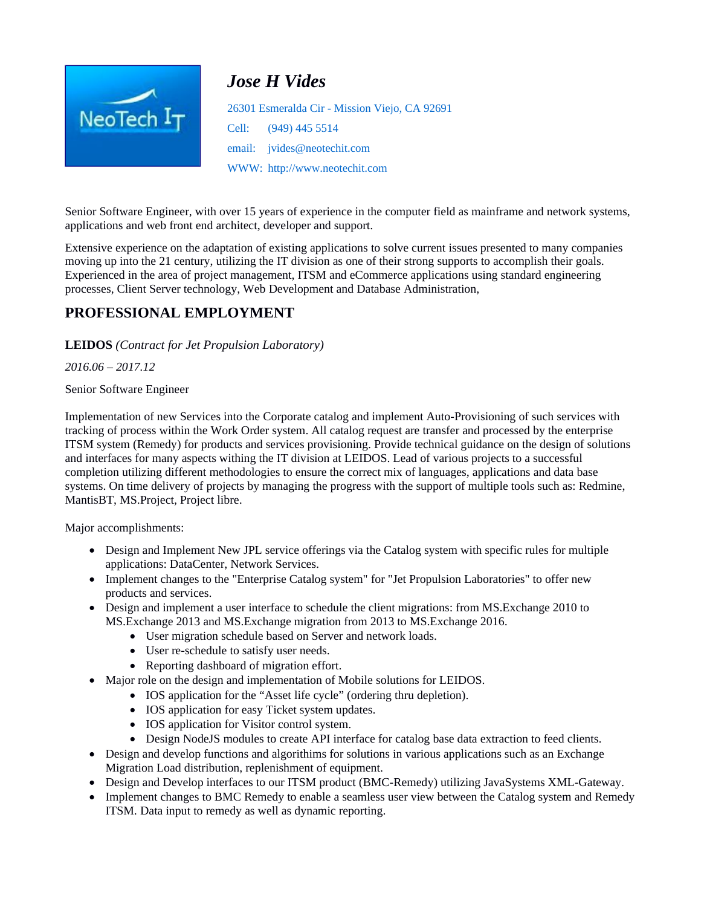

# *Jose H Vides*

26301 Esmeralda Cir - Mission Viejo, CA 92691 Cell: (949) 445 5514 email: jvides@neotechit.com WWW: http://www.neotechit.com

Senior Software Engineer, with over 15 years of experience in the computer field as mainframe and network systems, applications and web front end architect, developer and support.

Extensive experience on the adaptation of existing applications to solve current issues presented to many companies moving up into the 21 century, utilizing the IT division as one of their strong supports to accomplish their goals. Experienced in the area of project management, ITSM and eCommerce applications using standard engineering processes, Client Server technology, Web Development and Database Administration,

# **PROFESSIONAL EMPLOYMENT**

**LEIDOS** *(Contract for Jet Propulsion Laboratory)*

*2016.06 – 2017.12* 

Senior Software Engineer

Implementation of new Services into the Corporate catalog and implement Auto-Provisioning of such services with tracking of process within the Work Order system. All catalog request are transfer and processed by the enterprise ITSM system (Remedy) for products and services provisioning. Provide technical guidance on the design of solutions and interfaces for many aspects withing the IT division at LEIDOS. Lead of various projects to a successful completion utilizing different methodologies to ensure the correct mix of languages, applications and data base systems. On time delivery of projects by managing the progress with the support of multiple tools such as: Redmine, MantisBT, MS.Project, Project libre.

Major accomplishments:

- Design and Implement New JPL service offerings via the Catalog system with specific rules for multiple applications: DataCenter, Network Services.
- Implement changes to the "Enterprise Catalog system" for "Jet Propulsion Laboratories" to offer new products and services.
- Design and implement a user interface to schedule the client migrations: from MS.Exchange 2010 to MS.Exchange 2013 and MS.Exchange migration from 2013 to MS.Exchange 2016.
	- User migration schedule based on Server and network loads.
	- User re-schedule to satisfy user needs.
	- Reporting dashboard of migration effort.
- Major role on the design and implementation of Mobile solutions for LEIDOS.
	- IOS application for the "Asset life cycle" (ordering thru depletion).
		- IOS application for easy Ticket system updates.
		- IOS application for Visitor control system.
		- Design NodeJS modules to create API interface for catalog base data extraction to feed clients.
- Design and develop functions and algorithims for solutions in various applications such as an Exchange Migration Load distribution, replenishment of equipment.
- Design and Develop interfaces to our ITSM product (BMC-Remedy) utilizing JavaSystems XML-Gateway.
- Implement changes to BMC Remedy to enable a seamless user view between the Catalog system and Remedy ITSM. Data input to remedy as well as dynamic reporting.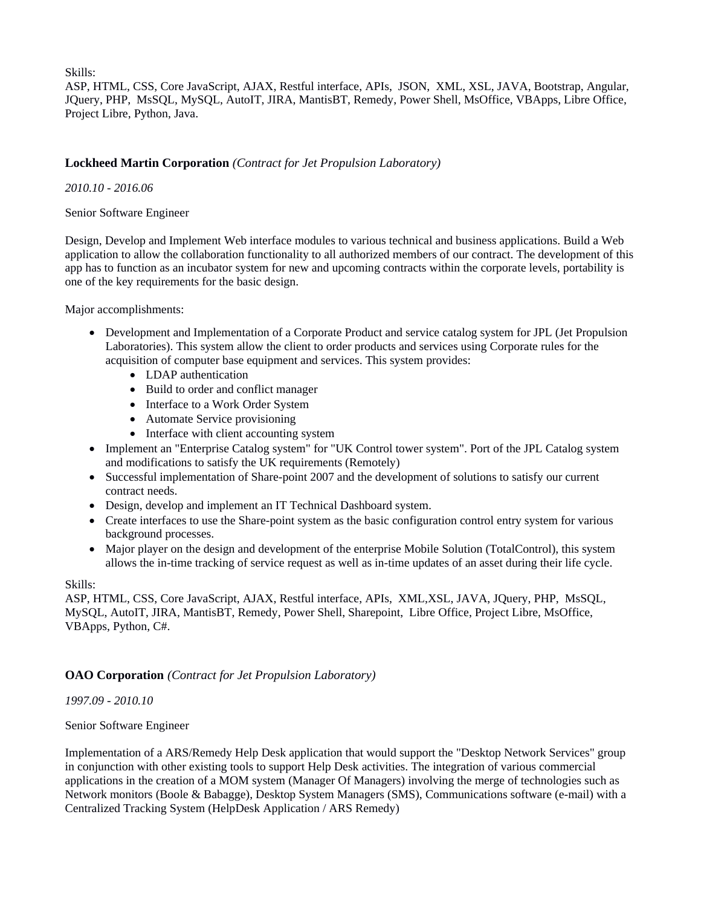Skills:

ASP, HTML, CSS, Core JavaScript, AJAX, Restful interface, APIs, JSON, XML, XSL, JAVA, Bootstrap, Angular, JQuery, PHP, MsSQL, MySQL, AutoIT, JIRA, MantisBT, Remedy, Power Shell, MsOffice, VBApps, Libre Office, Project Libre, Python, Java.

## **Lockheed Martin Corporation** *(Contract for Jet Propulsion Laboratory)*

#### *2010.10 - 2016.06*

Senior Software Engineer

Design, Develop and Implement Web interface modules to various technical and business applications. Build a Web application to allow the collaboration functionality to all authorized members of our contract. The development of this app has to function as an incubator system for new and upcoming contracts within the corporate levels, portability is one of the key requirements for the basic design.

Major accomplishments:

- Development and Implementation of a Corporate Product and service catalog system for JPL (Jet Propulsion Laboratories). This system allow the client to order products and services using Corporate rules for the acquisition of computer base equipment and services. This system provides:
	- LDAP authentication
	- Build to order and conflict manager
	- Interface to a Work Order System
	- Automate Service provisioning
	- Interface with client accounting system
- Implement an "Enterprise Catalog system" for "UK Control tower system". Port of the JPL Catalog system and modifications to satisfy the UK requirements (Remotely)
- Successful implementation of Share-point 2007 and the development of solutions to satisfy our current contract needs.
- Design, develop and implement an IT Technical Dashboard system.
- Create interfaces to use the Share-point system as the basic configuration control entry system for various background processes.
- Major player on the design and development of the enterprise Mobile Solution (TotalControl), this system allows the in-time tracking of service request as well as in-time updates of an asset during their life cycle.

Skills:

ASP, HTML, CSS, Core JavaScript, AJAX, Restful interface, APIs, XML,XSL, JAVA, JQuery, PHP, MsSQL, MySQL, AutoIT, JIRA, MantisBT, Remedy, Power Shell, Sharepoint, Libre Office, Project Libre, MsOffice, VBApps, Python, C#.

### **OAO Corporation** *(Contract for Jet Propulsion Laboratory)*

*1997.09 - 2010.10* 

### Senior Software Engineer

Implementation of a ARS/Remedy Help Desk application that would support the "Desktop Network Services" group in conjunction with other existing tools to support Help Desk activities. The integration of various commercial applications in the creation of a MOM system (Manager Of Managers) involving the merge of technologies such as Network monitors (Boole & Babagge), Desktop System Managers (SMS), Communications software (e-mail) with a Centralized Tracking System (HelpDesk Application / ARS Remedy)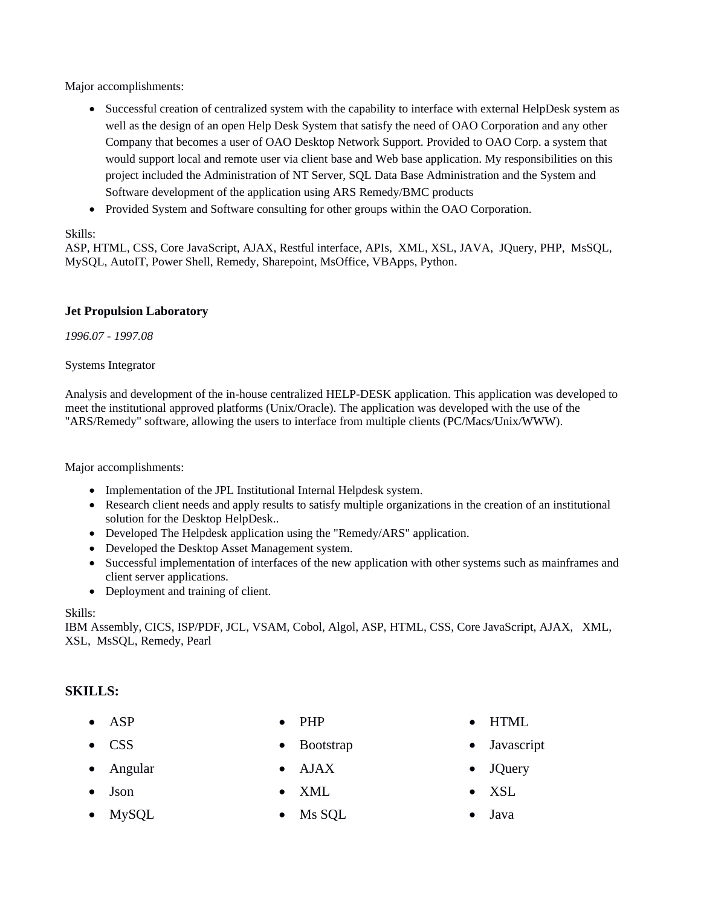Major accomplishments:

- Successful creation of centralized system with the capability to interface with external HelpDesk system as well as the design of an open Help Desk System that satisfy the need of OAO Corporation and any other Company that becomes a user of OAO Desktop Network Support. Provided to OAO Corp. a system that would support local and remote user via client base and Web base application. My responsibilities on this project included the Administration of NT Server, SQL Data Base Administration and the System and Software development of the application using ARS Remedy/BMC products
- Provided System and Software consulting for other groups within the OAO Corporation.

## Skills:

ASP, HTML, CSS, Core JavaScript, AJAX, Restful interface, APIs, XML, XSL, JAVA, JQuery, PHP, MsSQL, MySQL, AutoIT, Power Shell, Remedy, Sharepoint, MsOffice, VBApps, Python.

## **Jet Propulsion Laboratory**

*1996.07 - 1997.08* 

Systems Integrator

Analysis and development of the in-house centralized HELP-DESK application. This application was developed to meet the institutional approved platforms (Unix/Oracle). The application was developed with the use of the "ARS/Remedy" software, allowing the users to interface from multiple clients (PC/Macs/Unix/WWW).

Major accomplishments:

- Implementation of the JPL Institutional Internal Helpdesk system.
- Research client needs and apply results to satisfy multiple organizations in the creation of an institutional solution for the Desktop HelpDesk..
- Developed The Helpdesk application using the "Remedy/ARS" application.
- Developed the Desktop Asset Management system.
- Successful implementation of interfaces of the new application with other systems such as mainframes and client server applications.
- Deployment and training of client.

### Skills:

IBM Assembly, CICS, ISP/PDF, JCL, VSAM, Cobol, Algol, ASP, HTML, CSS, Core JavaScript, AJAX, XML, XSL, MsSQL, Remedy, Pearl

## **SKILLS:**

- 
- Angular AJAX JQuery
- Json XML XSL
- 
- 
- 
- 
- 
- MySQL Ms SQL Java
- ASP PHP HTML
- CSS Bootstrap Javascript
	-
	-
	-